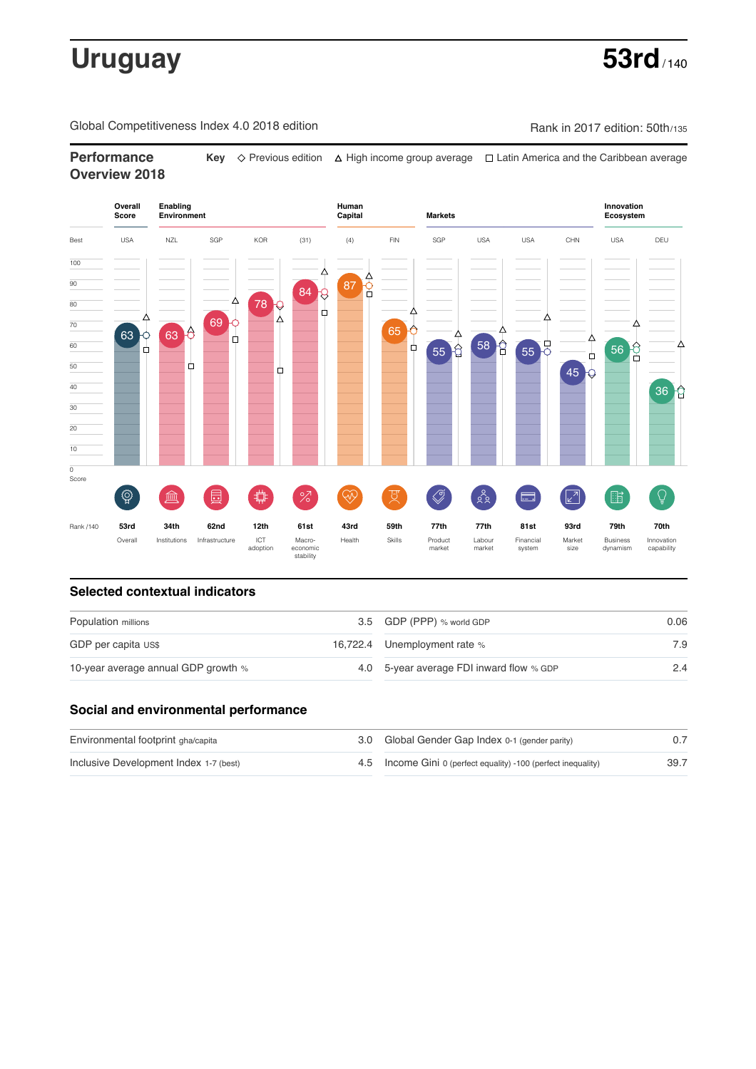# **Uruguay** 53rd

Global Competitiveness Index 4.0 2018 edition Company Rank in 2017 edition: 50th/135

# **Performance Key**  $\Diamond$  Previous edition △ High income group average □ Latin America and the Caribbean average **Overview 2018**



### **Selected contextual indicators**

| Population millions                 | 3.5 GDP (PPP) % world GDP                | 0.06 |  |
|-------------------------------------|------------------------------------------|------|--|
| GDP per capita US\$                 | 16,722.4 Unemployment rate %             | 7.9  |  |
| 10-year average annual GDP growth % | 4.0 5-year average FDI inward flow % GDP | 2.4  |  |

## **Social and environmental performance**

| Environmental footprint gha/capita     | 3.0 Global Gender Gap Index 0-1 (gender parity)                |      |
|----------------------------------------|----------------------------------------------------------------|------|
| Inclusive Development Index 1-7 (best) | 4.5 Income Gini 0 (perfect equality) -100 (perfect inequality) | 39.7 |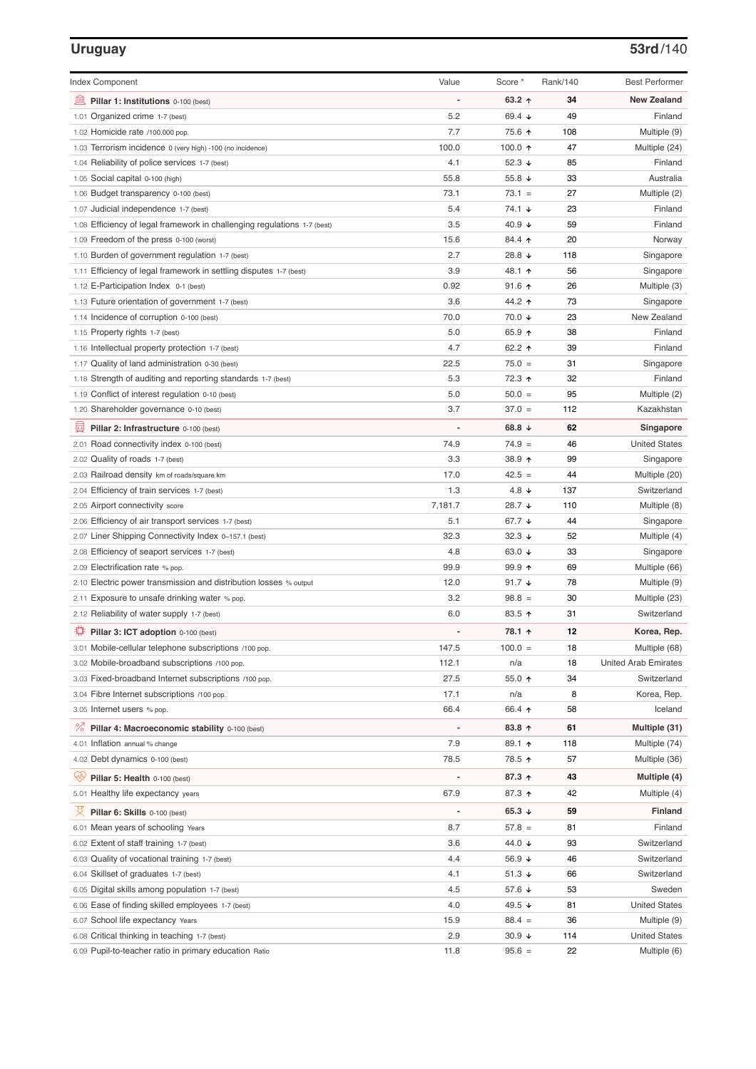### **Uruguay 53rd**/140

| <b>Index Component</b>                                                   | Value                        | Score *          | Rank/140 | <b>Best Performer</b>       |
|--------------------------------------------------------------------------|------------------------------|------------------|----------|-----------------------------|
| 寙<br>Pillar 1: Institutions 0-100 (best)                                 | $\overline{a}$               | 63.2 $\uparrow$  | 34       | <b>New Zealand</b>          |
| Organized crime 1-7 (best)<br>1.01                                       | 5.2                          | 69.4 $\sqrt{ }$  | 49       | Finland                     |
| 1.02 Homicide rate /100,000 pop.                                         | 7.7                          | 75.6 ↑           | 108      | Multiple (9)                |
| 1.03 Terrorism incidence 0 (very high) -100 (no incidence)               | 100.0                        | 100.0 $\uparrow$ | 47       | Multiple (24)               |
| 1.04 Reliability of police services 1-7 (best)                           | 4.1                          | 52.3 ↓           | 85       | Finland                     |
| 1.05 Social capital 0-100 (high)                                         | 55.8                         | 55.8 $\sqrt{ }$  | 33       | Australia                   |
| 1.06 Budget transparency 0-100 (best)                                    | 73.1                         | $73.1 =$         | 27       | Multiple (2)                |
| 1.07 Judicial independence 1-7 (best)                                    | 5.4                          | 74.1 ↓           | 23       | Finland                     |
| 1.08 Efficiency of legal framework in challenging regulations 1-7 (best) | 3.5                          | 40.9 $\sqrt{ }$  | 59       | Finland                     |
| 1.09 Freedom of the press 0-100 (worst)                                  | 15.6                         | 84.4 ↑           | 20       | Norway                      |
| 1.10 Burden of government regulation 1-7 (best)                          | 2.7                          | 28.8 ↓           | 118      | Singapore                   |
| 1.11 Efficiency of legal framework in settling disputes 1-7 (best)       | 3.9                          | 48.1 ↑           | 56       | Singapore                   |
| 1.12 E-Participation Index 0-1 (best)                                    | 0.92                         | $91.6$ ↑         | 26       | Multiple (3)                |
| 1.13 Future orientation of government 1-7 (best)                         | 3.6                          | 44.2 ↑           | 73       | Singapore                   |
| 1.14 Incidence of corruption 0-100 (best)                                | 70.0                         | 70.0 ↓           | 23       | New Zealand                 |
| 1.15 Property rights 1-7 (best)                                          | 5.0                          | 65.9 ↑           | 38       | Finland                     |
| 1.16 Intellectual property protection 1-7 (best)                         | 4.7                          | 62.2 $\uparrow$  | 39       | Finland                     |
| 1.17 Quality of land administration 0-30 (best)                          | 22.5                         | $75.0 =$         | 31       | Singapore                   |
| 1.18 Strength of auditing and reporting standards 1-7 (best)             | 5.3                          | 72.3 ↑           | 32       | Finland                     |
| 1.19 Conflict of interest regulation 0-10 (best)                         | 5.0                          | $50.0 =$         | 95       | Multiple (2)                |
| 1.20 Shareholder governance 0-10 (best)                                  | 3.7                          | $37.0 =$         | 112      | Kazakhstan                  |
| 員<br>Pillar 2: Infrastructure 0-100 (best)                               |                              | 68.8 $\sqrt{ }$  | 62       | Singapore                   |
| 2.01 Road connectivity index 0-100 (best)                                | 74.9                         | $74.9 =$         | 46       | <b>United States</b>        |
| 2.02 Quality of roads 1-7 (best)                                         | 3.3                          | 38.9 个           | 99       | Singapore                   |
| 2.03 Railroad density km of roads/square km                              | 17.0                         | $42.5 =$         | 44       | Multiple (20)               |
| 2.04 Efficiency of train services 1-7 (best)                             | 1.3                          | 4.8 $\downarrow$ | 137      | Switzerland                 |
| 2.05 Airport connectivity score                                          | 7,181.7                      | 28.7 ↓           | 110      | Multiple (8)                |
| 2.06 Efficiency of air transport services 1-7 (best)                     | 5.1                          | 67.7 ↓           | 44       | Singapore                   |
| 2.07 Liner Shipping Connectivity Index 0-157.1 (best)                    | 32.3                         | $32.3 +$         | 52       | Multiple (4)                |
| 2.08 Efficiency of seaport services 1-7 (best)                           | 4.8                          | 63.0 $\sqrt{ }$  | 33       | Singapore                   |
| 2.09 Electrification rate % pop.                                         | 99.9                         | $99.9$ 1         | 69       | Multiple (66)               |
| 2.10 Electric power transmission and distribution losses % output        | 12.0                         | 91.7 $\sqrt{ }$  | 78       | Multiple (9)                |
| 2.11 Exposure to unsafe drinking water % pop.                            | 3.2                          | $98.8 =$         | 30       | Multiple (23)               |
| 2.12 Reliability of water supply 1-7 (best)                              | 6.0                          | 83.5 个           | 31       | Switzerland                 |
| O<br>Pillar 3: ICT adoption 0-100 (best)                                 |                              | 78.1 ↑           | 12       | Korea, Rep.                 |
| 3.01 Mobile-cellular telephone subscriptions /100 pop.                   | 147.5                        | $100.0 =$        | 18       | Multiple (68)               |
| 3.02 Mobile-broadband subscriptions /100 pop.                            | 112.1                        | n/a              | 18       | <b>United Arab Emirates</b> |
| 3.03 Fixed-broadband Internet subscriptions /100 pop.                    | 27.5                         | 55.0 ↑           | 34       | Switzerland                 |
| 3.04 Fibre Internet subscriptions /100 pop.                              | 17.1                         | n/a              | 8        | Korea, Rep.                 |
| 3.05 Internet users % pop.                                               | 66.4                         | 66.4 ↑           | 58       | Iceland                     |
| $\%$<br>Pillar 4: Macroeconomic stability 0-100 (best)                   | $\qquad \qquad \blacksquare$ | 83.8 个           | 61       | Multiple (31)               |
| 4.01 Inflation annual % change                                           | 7.9                          | 89.1 ↑           | 118      | Multiple (74)               |
| 4.02 Debt dynamics 0-100 (best)                                          | 78.5                         | 78.5 个           | 57       | Multiple (36)               |
| Qv<br>Pillar 5: Health 0-100 (best)                                      |                              | 87.3 ↑           | 43       | Multiple (4)                |
| 5.01 Healthy life expectancy years                                       | 67.9                         | 87.3 个           | 42       | Multiple (4)                |
| 섯<br>Pillar 6: Skills 0-100 (best)                                       | $\overline{a}$               | 65.3 $\sqrt{ }$  | 59       | Finland                     |
| 6.01 Mean years of schooling Years                                       | 8.7                          | $57.8 =$         | 81       | Finland                     |
| 6.02 Extent of staff training 1-7 (best)                                 | 3.6                          | 44.0 ↓           | 93       | Switzerland                 |
| 6.03 Quality of vocational training 1-7 (best)                           | 4.4                          | 56.9 $\sqrt{ }$  | 46       | Switzerland                 |
| 6.04 Skillset of graduates 1-7 (best)                                    | 4.1                          | 51.3 $\sqrt{ }$  | 66       | Switzerland                 |
| 6.05 Digital skills among population 1-7 (best)                          | 4.5                          | 57.6 ↓           | 53       | Sweden                      |
| 6.06 Ease of finding skilled employees 1-7 (best)                        | 4.0                          | 49.5 ↓           | 81       | <b>United States</b>        |
| 6.07 School life expectancy Years                                        | 15.9                         | $88.4 =$         | 36       | Multiple (9)                |
| 6.08 Critical thinking in teaching 1-7 (best)                            | 2.9                          | $30.9 +$         | 114      | <b>United States</b>        |
| 6.09 Pupil-to-teacher ratio in primary education Ratio                   | 11.8                         | $95.6 =$         | 22       | Multiple (6)                |